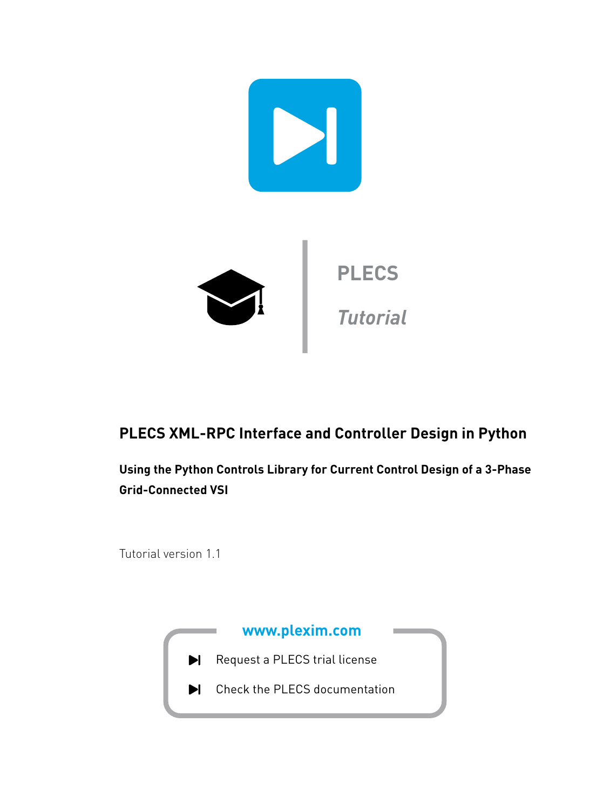

# **PLECS XML-RPC Interface and Controller Design in Python**

**Using the Python Controls Library for Current Control Design of a 3-Phase Grid-Connected VSI**

Tutorial version 1.1

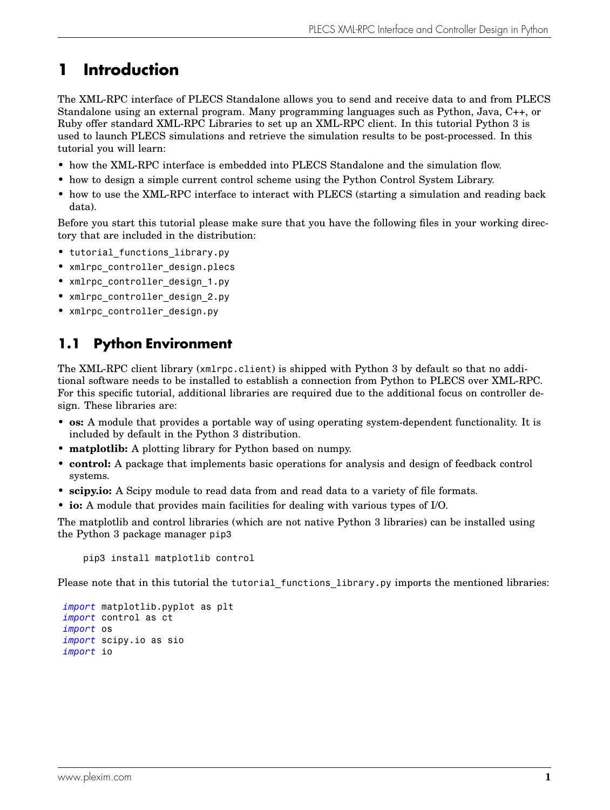# **1 Introduction**

The XML-RPC interface of PLECS Standalone allows you to send and receive data to and from PLECS Standalone using an external program. Many programming languages such as Python, Java, C++, or Ruby offer standard XML-RPC Libraries to set up an XML-RPC client. In this tutorial Python 3 is used to launch PLECS simulations and retrieve the simulation results to be post-processed. In this tutorial you will learn:

- how the XML-RPC interface is embedded into PLECS Standalone and the simulation flow.
- how to design a simple current control scheme using the Python Control System Library.
- how to use the XML-RPC interface to interact with PLECS (starting a simulation and reading back data).

Before you start this tutorial please make sure that you have the following files in your working directory that are included in the distribution:

- tutorial functions library.py
- xmlrpc controller design.plecs
- xmlrpc controller design 1.py
- xmlrpc controller design 2.py
- xmlrpc controller design.py

### **1.1 Python Environment**

The XML-RPC client library (xmlrpc.client) is shipped with Python 3 by default so that no additional software needs to be installed to establish a connection from Python to PLECS over XML-RPC. For this specific tutorial, additional libraries are required due to the additional focus on controller design. These libraries are:

- **os:** A module that provides a portable way of using operating system-dependent functionality. It is included by default in the Python 3 distribution.
- **matplotlib:** A plotting library for Python based on numpy.
- **control:** A package that implements basic operations for analysis and design of feedback control systems.
- **scipy.io:** A Scipy module to read data from and read data to a variety of file formats.
- **io:** A module that provides main facilities for dealing with various types of I/O.

The matplotlib and control libraries (which are not native Python 3 libraries) can be installed using the Python 3 package manager pip3

pip3 install matplotlib control

Please note that in this tutorial the tutorial functions library.py imports the mentioned libraries:

*import* matplotlib.pyplot as plt *import* control as ct *import* os *import* scipy.io as sio *import* io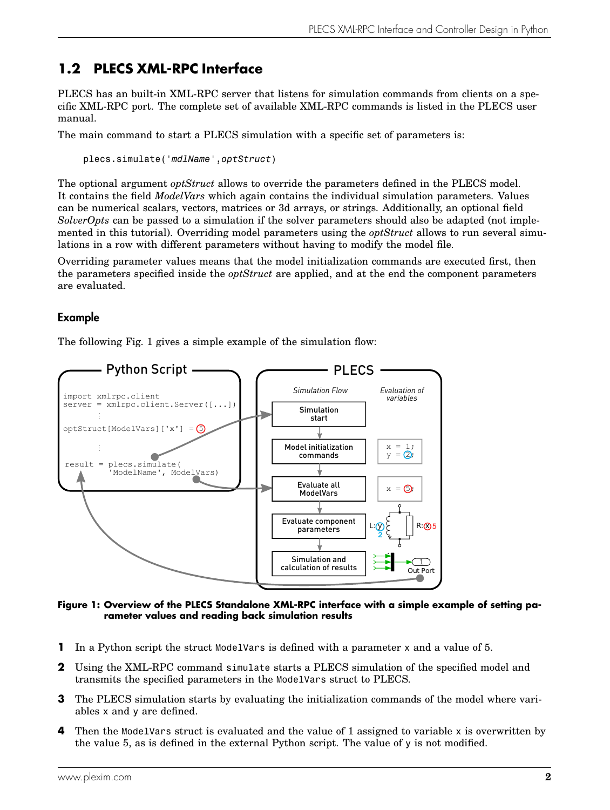## <span id="page-2-1"></span>**1.2 PLECS XML-RPC Interface**

PLECS has an built-in XML-RPC server that listens for simulation commands from clients on a specific XML-RPC port. The complete set of available XML-RPC commands is listed in the PLECS user manual.

The main command to start a PLECS simulation with a specific set of parameters is:

plecs.simulate('*mdlName*',*optStruct*)

The optional argument *optStruct* allows to override the parameters defined in the PLECS model. It contains the field *ModelVars* which again contains the individual simulation parameters. Values can be numerical scalars, vectors, matrices or 3d arrays, or strings. Additionally, an optional field *SolverOpts* can be passed to a simulation if the solver parameters should also be adapted (not implemented in this tutorial). Overriding model parameters using the *optStruct* allows to run several simulations in a row with different parameters without having to modify the model file.

Overriding parameter values means that the model initialization commands are executed first, then the parameters specified inside the *optStruct* are applied, and at the end the component parameters are evaluated.

### Example

The following Fig. [1](#page-2-0) gives a simple example of the simulation flow:

<span id="page-2-0"></span>

**Figure 1: Overview of the PLECS Standalone XML-RPC interface with a simple example of setting parameter values and reading back simulation results**

- **1** In a Python script the struct ModelVars is defined with a parameter x and a value of 5.
- **2** Using the XML-RPC command simulate starts a PLECS simulation of the specified model and transmits the specified parameters in the ModelVars struct to PLECS.
- **3** The PLECS simulation starts by evaluating the initialization commands of the model where variables x and y are defined.
- **4** Then the ModelVars struct is evaluated and the value of 1 assigned to variable x is overwritten by the value 5, as is defined in the external Python script. The value of y is not modified.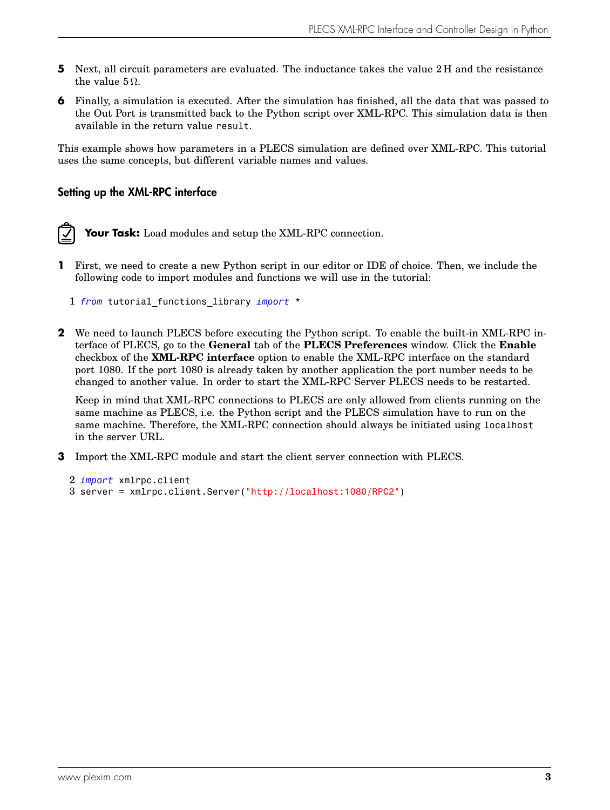- **5** Next, all circuit parameters are evaluated. The inductance takes the value 2 H and the resistance the value  $5 \Omega$ .
- **6** Finally, a simulation is executed. After the simulation has finished, all the data that was passed to the Out Port is transmitted back to the Python script over XML-RPC. This simulation data is then available in the return value result.

This example shows how parameters in a PLECS simulation are defined over XML-RPC. This tutorial uses the same concepts, but different variable names and values.

### Setting up the XML-RPC interface

**Your Task:** Load modules and setup the XML-RPC connection.

- **1** First, we need to create a new Python script in our editor or IDE of choice. Then, we include the following code to import modules and functions we will use in the tutorial:
	- 1 *from* tutorial\_functions\_library *import* \*
- **2** We need to launch PLECS before executing the Python script. To enable the built-in XML-RPC interface of PLECS, go to the **General** tab of the **PLECS Preferences** window. Click the **Enable** checkbox of the **XML-RPC interface** option to enable the XML-RPC interface on the standard port 1080. If the port 1080 is already taken by another application the port number needs to be changed to another value. In order to start the XML-RPC Server PLECS needs to be restarted.

Keep in mind that XML-RPC connections to PLECS are only allowed from clients running on the same machine as PLECS, i.e. the Python script and the PLECS simulation have to run on the same machine. Therefore, the XML-RPC connection should always be initiated using localhost in the server URL.

**3** Import the XML-RPC module and start the client server connection with PLECS.

```
2 import xmlrpc.client
3 server = xmlrpc.client.Server("http://localhost:1080/RPC2")
```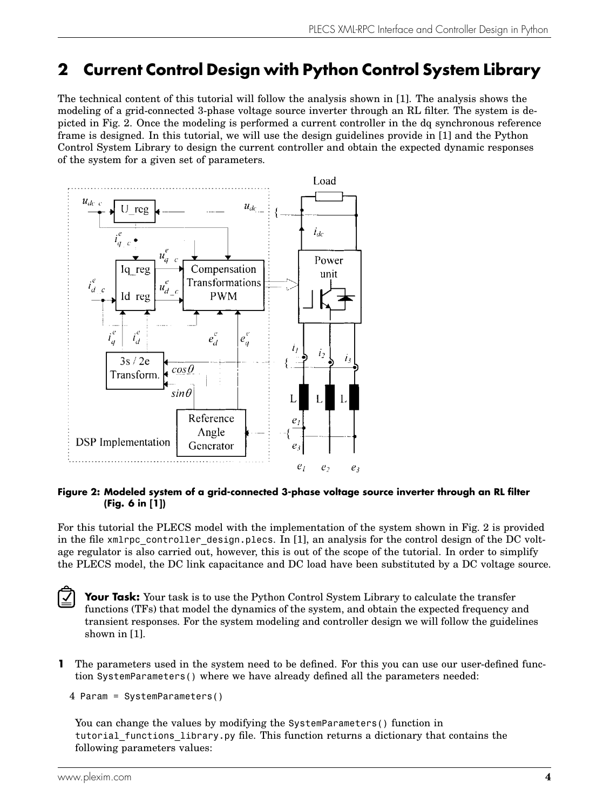# **2 Current Control Design with Python Control System Library**

The technical content of this tutorial will follow the analysis shown in [\[1\]](#page-10-0). The analysis shows the modeling of a grid-connected 3-phase voltage source inverter through an RL filter. The system is depicted in Fig. [2.](#page-4-0) Once the modeling is performed a current controller in the dq synchronous reference frame is designed. In this tutorial, we will use the design guidelines provide in [\[1\]](#page-10-0) and the Python Control System Library to design the current controller and obtain the expected dynamic responses of the system for a given set of parameters.

<span id="page-4-0"></span>

#### **Figure 2: Modeled system of a grid-connected 3-phase voltage source inverter through an RL filter (Fig. 6 in [\[1\]](#page-10-0))**

For this tutorial the PLECS model with the implementation of the system shown in Fig. [2](#page-4-0) is provided in the file xmlrpc controller design.plecs. In  $[1]$ , an analysis for the control design of the DC voltage regulator is also carried out, however, this is out of the scope of the tutorial. In order to simplify the PLECS model, the DC link capacitance and DC load have been substituted by a DC voltage source.

**Your Task:** Your task is to use the Python Control System Library to calculate the transfer functions (TFs) that model the dynamics of the system, and obtain the expected frequency and transient responses. For the system modeling and controller design we will follow the guidelines shown in [\[1\]](#page-10-0).

**1** The parameters used in the system need to be defined. For this you can use our user-defined function SystemParameters() where we have already defined all the parameters needed:

```
4 Param = SystemParameters()
```
You can change the values by modifying the SystemParameters() function in tutorial\_functions\_library.py file. This function returns a dictionary that contains the following parameters values:

 $\blacktriangledown$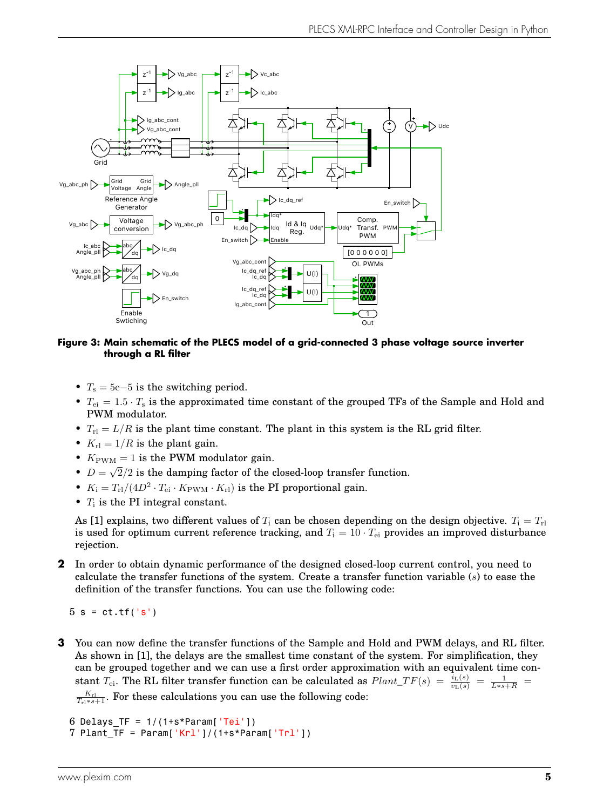

**Figure 3: Main schematic of the PLECS model of a grid-connected 3 phase voltage source inverter through a RL filter**

- $T_s = 5e-5$  is the switching period.
- $T_{ei} = 1.5 \cdot T_s$  is the approximated time constant of the grouped TFs of the Sample and Hold and PWM modulator.
- $T_{\text{rl}} = L/R$  is the plant time constant. The plant in this system is the RL grid filter.
- $K_{\rm rl} = 1/R$  is the plant gain.
- $K_{\text{PWM}} = 1$  is the PWM modulator gain. √
- $\bullet$   $D =$  $2/2$  is the damping factor of the closed-loop transfer function.
- $K_i = T_{rl}/(4D^2 \cdot T_{ei} \cdot K_{\text{PWM}} \cdot K_{rl})$  is the PI proportional gain.
- $T_i$  is the PI integral constant.

As [\[1\]](#page-10-0) explains, two different values of  $T_i$  can be chosen depending on the design objective.  $T_i = T_{ri}$ is used for optimum current reference tracking, and  $T_i = 10 \cdot T_{ei}$  provides an improved disturbance rejection.

**2** In order to obtain dynamic performance of the designed closed-loop current control, you need to calculate the transfer functions of the system. Create a transfer function variable  $(s)$  to ease the definition of the transfer functions. You can use the following code:

 $5 s = ct.tf('s')$ 

**3** You can now define the transfer functions of the Sample and Hold and PWM delays, and RL filter. As shown in [\[1\]](#page-10-0), the delays are the smallest time constant of the system. For simplification, they can be grouped together and we can use a first order approximation with an equivalent time constant  $T_{ei}$ . The RL filter transfer function can be calculated as  $Plant\_TF(s) = \frac{i_L(s)}{v_L(s)} = \frac{1}{L*s+R}$  $\frac{K_{\text{rl}}}{T_{\text{rl}} \cdot s+1}$ . For these calculations you can use the following code:

```
6 Delays TF = 1/(1+s*Param['Tei'])7 Plant TF = Param['Krl']/(1+s*Param['Trl'])
```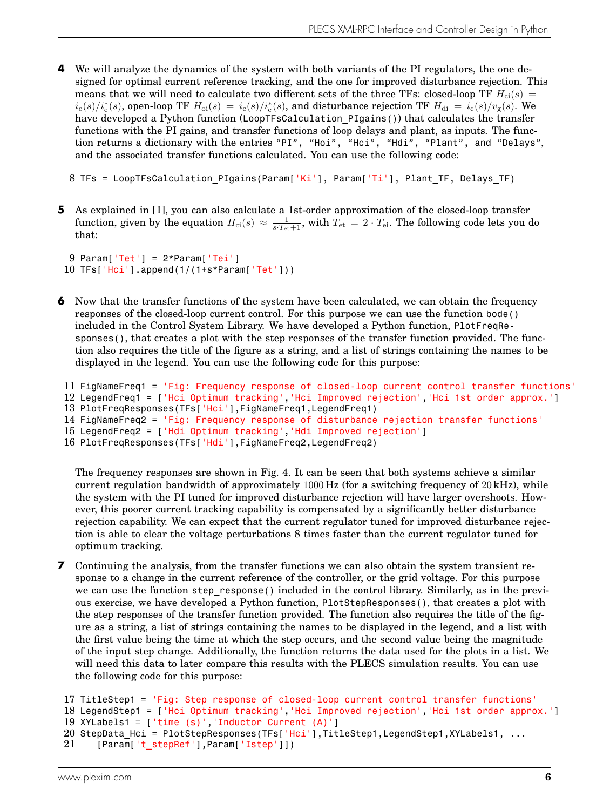- **4** We will analyze the dynamics of the system with both variants of the PI regulators, the one designed for optimal current reference tracking, and the one for improved disturbance rejection. This means that we will need to calculate two different sets of the three TFs: closed-loop TF  $H_{ci}(s)$  =  $i_c(s)/i_c^*(s)$ , open-loop TF  $H_{oi}(s) = i_c(s)/i_c^*(s)$ , and disturbance rejection TF  $H_{\rm di} = i_c(s)/v_{\rm g}(s)$ . We have developed a Python function (LoopTFsCalculation PIgains()) that calculates the transfer functions with the PI gains, and transfer functions of loop delays and plant, as inputs. The function returns a dictionary with the entries "PI", "Hoi", "Hoi", "Hdi", "Plant", and "Delays", and the associated transfer functions calculated. You can use the following code:
	- 8 TFs = LoopTFsCalculation\_PIgains(Param['Ki'], Param['Ti'], Plant\_TF, Delays\_TF)
- **5** As explained in [\[1\]](#page-10-0), you can also calculate a 1st-order approximation of the closed-loop transfer function, given by the equation  $H_{\text{ci}}(s) \approx \frac{1}{s \cdot T_{\text{et}} + 1}$ , with  $T_{\text{et}} = 2 \cdot T_{\text{ei}}$ . The following code lets you do that:

 $9$  Param['Tet'] =  $2*$ Param['Tei'] 10 TFs['Hci'].append(1/(1+s\*Param['Tet']))

**6** Now that the transfer functions of the system have been calculated, we can obtain the frequency responses of the closed-loop current control. For this purpose we can use the function bode() included in the Control System Library. We have developed a Python function, PlotFreqResponses(), that creates a plot with the step responses of the transfer function provided. The function also requires the title of the figure as a string, and a list of strings containing the names to be displayed in the legend. You can use the following code for this purpose:

```
11 FigNameFreq1 = 'Fig: Frequency response of closed-loop current control transfer functions'
12 LegendFreq1 = ['Hci Optimum tracking','Hci Improved rejection','Hci 1st order approx.']
13 PlotFreqResponses(TFs['Hci'],FigNameFreq1,LegendFreq1)
14 FigNameFreq2 = 'Fig: Frequency response of disturbance rejection transfer functions'
15 LegendFreq2 = ['Hdi Optimum tracking','Hdi Improved rejection']
```

```
16 PlotFreqResponses(TFs['Hdi'],FigNameFreq2,LegendFreq2)
```
The frequency responses are shown in Fig. [4.](#page-7-0) It can be seen that both systems achieve a similar current regulation bandwidth of approximately 1000 Hz (for a switching frequency of 20 kHz), while the system with the PI tuned for improved disturbance rejection will have larger overshoots. However, this poorer current tracking capability is compensated by a significantly better disturbance rejection capability. We can expect that the current regulator tuned for improved disturbance rejection is able to clear the voltage perturbations 8 times faster than the current regulator tuned for optimum tracking.

**7** Continuing the analysis, from the transfer functions we can also obtain the system transient response to a change in the current reference of the controller, or the grid voltage. For this purpose we can use the function step response() included in the control library. Similarly, as in the previous exercise, we have developed a Python function, PlotStepResponses(), that creates a plot with the step responses of the transfer function provided. The function also requires the title of the figure as a string, a list of strings containing the names to be displayed in the legend, and a list with the first value being the time at which the step occurs, and the second value being the magnitude of the input step change. Additionally, the function returns the data used for the plots in a list. We will need this data to later compare this results with the PLECS simulation results. You can use the following code for this purpose:

```
17 TitleStep1 = 'Fig: Step response of closed-loop current control transfer functions'
18 LegendStep1 = ['Hci Optimum tracking','Hci Improved rejection','Hci 1st order approx.']
19 XYLabels1 = \lceil'time (s)', 'Inductor Current (A)']
20 StepData Hci = PlotStepResponses(TFs['Hci'],TitleStep1,LegendStep1,XYLabels1, ...
21 [Param['t stepRef'],Param['Istep']])
```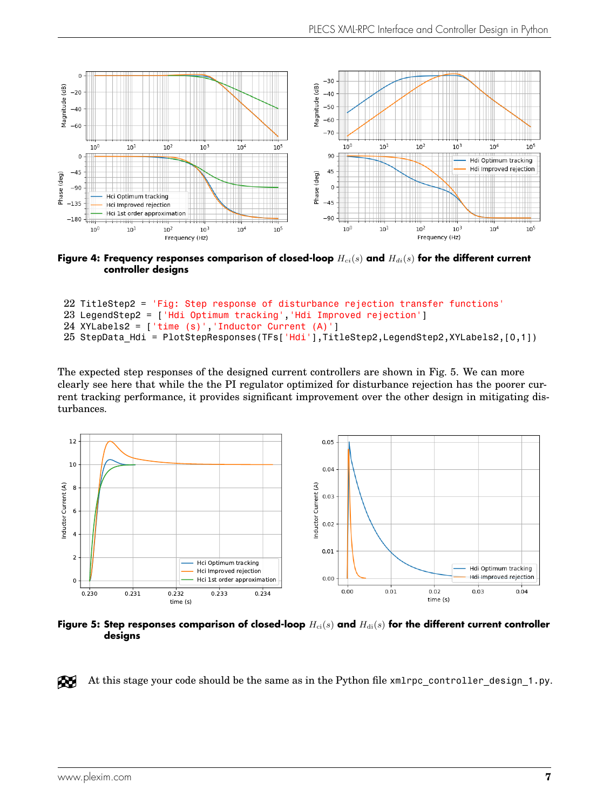<span id="page-7-0"></span>

Figure 4: Frequency responses comparison of closed-loop  $H_{ci}(s)$  and  $H_{di}(s)$  for the different current **controller designs**

```
22 TitleStep2 = 'Fig: Step response of disturbance rejection transfer functions'
23 LegendStep2 = ['Hdi Optimum tracking','Hdi Improved rejection']
24 XYLabels2 = ['time (s)', 'Inductor Current (A)']25 StepData Hdi = PlotStepResponses(TFs['Hdi'],TitleStep2,LegendStep2,XYLabels2,[0,1])
```
The expected step responses of the designed current controllers are shown in Fig. [5.](#page-7-1) We can more clearly see here that while the the PI regulator optimized for disturbance rejection has the poorer current tracking performance, it provides significant improvement over the other design in mitigating disturbances.

<span id="page-7-1"></span>

Figure 5: Step responses comparison of closed-loop  $H_{ci}(s)$  and  $H_{di}(s)$  for the different current controller **designs**

Æ At this stage your code should be the same as in the Python file xmlrpc\_controller\_design\_1.py.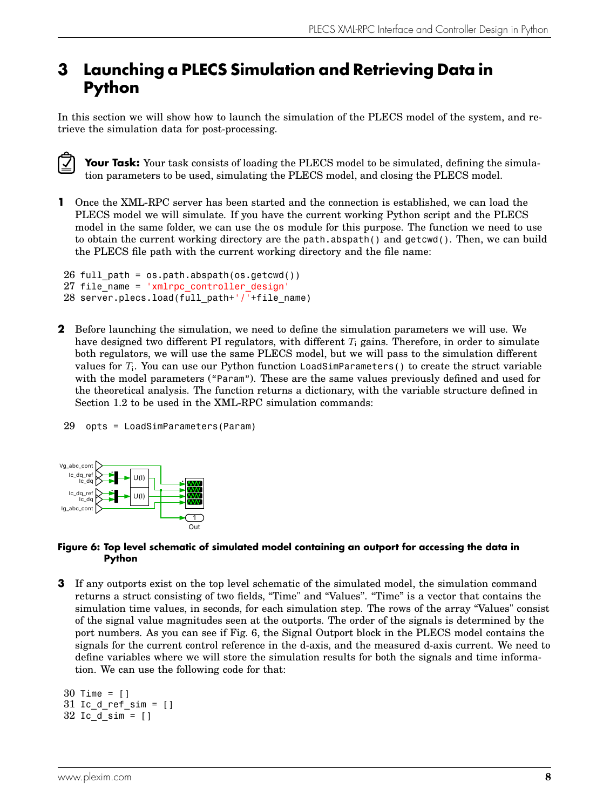## **3 Launching a PLECS Simulation and Retrieving Data in Python**

In this section we will show how to launch the simulation of the PLECS model of the system, and retrieve the simulation data for post-processing.

Your Task: Your task consists of loading the PLECS model to be simulated, defining the simulation parameters to be used, simulating the PLECS model, and closing the PLECS model.

**1** Once the XML-RPC server has been started and the connection is established, we can load the PLECS model we will simulate. If you have the current working Python script and the PLECS model in the same folder, we can use the os module for this purpose. The function we need to use to obtain the current working directory are the path.abspath() and getcwd(). Then, we can build the PLECS file path with the current working directory and the file name:

```
26 full path = os.path.abspath(os.getcwd())27 file name = 'xmlrpc controller design
28 server.plecs.load(full path+'/'+file name)
```
**2** Before launching the simulation, we need to define the simulation parameters we will use. We have designed two different PI regulators, with different  $T_i$  gains. Therefore, in order to simulate both regulators, we will use the same PLECS model, but we will pass to the simulation different values for  $T_{\rm i}$ . You can use our <code>Python</code> function <code>LoadSimParameters</code> ( ) to create the struct variable with the model parameters ("Param"). These are the same values previously defined and used for the theoretical analysis. The function returns a dictionary, with the variable structure defined in Section [1.2](#page-2-1) to be used in the XML-RPC simulation commands:

```
29 opts = LoadSimParameters(Param)
```
<span id="page-8-0"></span>

#### **Figure 6: Top level schematic of simulated model containing an outport for accessing the data in Python**

**3** If any outports exist on the top level schematic of the simulated model, the simulation command returns a struct consisting of two fields, "Time" and "Values". "Time" is a vector that contains the simulation time values, in seconds, for each simulation step. The rows of the array "Values" consist of the signal value magnitudes seen at the outports. The order of the signals is determined by the port numbers. As you can see if Fig. [6,](#page-8-0) the Signal Outport block in the PLECS model contains the signals for the current control reference in the d-axis, and the measured d-axis current. We need to define variables where we will store the simulation results for both the signals and time information. We can use the following code for that:

```
30 Time = []
31 Ic d ref sim = []32 Ic_d_sim = []
```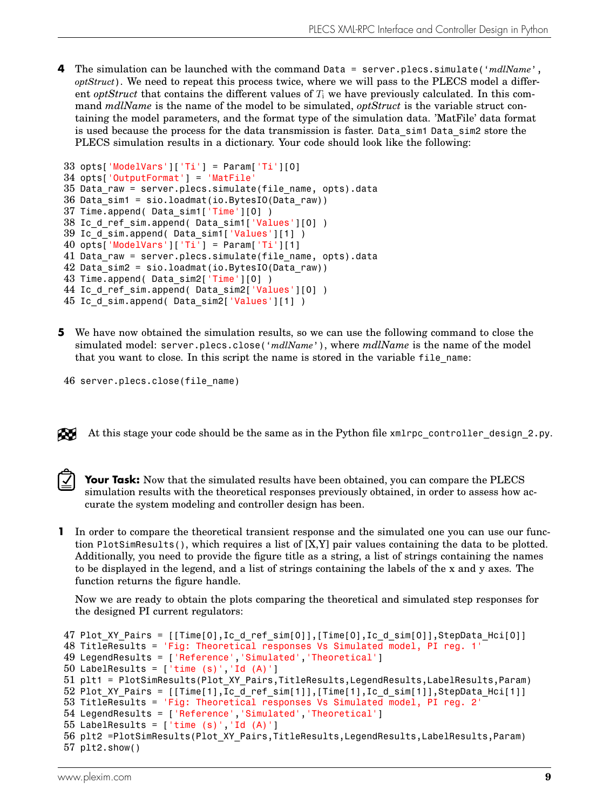**4** The simulation can be launched with the command Data = server.plecs.simulate('*mdlName*', *optStruct*). We need to repeat this process twice, where we will pass to the PLECS model a different *optStruct* that contains the different values of  $T_i$  we have previously calculated. In this command *mdlName* is the name of the model to be simulated, *optStruct* is the variable struct containing the model parameters, and the format type of the simulation data. 'MatFile' data format is used because the process for the data transmission is faster. Data\_sim1 Data\_sim2 store the PLECS simulation results in a dictionary. Your code should look like the following:

```
33 opts['ModelVars']['Ti'] = Param['Ti'][0]
34 opts['OutputFormat'] = 'MatFile'
35 Data_raw = server.plecs.simulate(file_name, opts).data
36 Data sim1 = sio.loadmat(io.BytesIO(Data raw))
37 Time.append( Data_sim1['Time'][0] )
38 Ic d ref sim.append( Data sim1['Values'][0] )
39 Ic d sim.append( Data sim1['Values'][1] )
40 opts['ModelVars']['Ti'] = Param['Ti'][1]
41 Data raw = server.plecs.simulate(file name, opts).data
42 Data sim2 = sio.loadmat(io.BytesIO(Data_raw))
43 Time.append( Data_sim2['Time'][0] )
44 Ic d ref sim.append( Data sim2['Values'][0] )
45 Ic<sup>d</sup>sim.append( Data_sim2['Values'][1] )
```
**5** We have now obtained the simulation results, so we can use the following command to close the simulated model: server.plecs.close('*mdlName*'), where *mdlName* is the name of the model that you want to close. In this script the name is stored in the variable file\_name:

```
46 server.plecs.close(file_name)
```
At this stage your code should be the same as in the Python file xmlrpc controller design 2.py.



ÆU

Your Task: Now that the simulated results have been obtained, you can compare the PLECS simulation results with the theoretical responses previously obtained, in order to assess how accurate the system modeling and controller design has been.

**1** In order to compare the theoretical transient response and the simulated one you can use our function PlotSimResults(), which requires a list of [X,Y] pair values containing the data to be plotted. Additionally, you need to provide the figure title as a string, a list of strings containing the names to be displayed in the legend, and a list of strings containing the labels of the x and y axes. The function returns the figure handle.

Now we are ready to obtain the plots comparing the theoretical and simulated step responses for the designed PI current regulators:

```
47 Plot_XY_Pairs = [[Time[0],Ic_d_ref_sim[0]],[Time[0],Ic_d_sim[0]],StepData_Hci[0]]
48 TitleResults = 'Fig: Theoretical responses Vs Simulated model, PI reg. 1'
49 LegendResults = ['Reference','Simulated','Theoretical']
50 LabelResults = [<sup>\cdot</sup>time (s)\cdot, \cdotId (A)\cdot]
51 plt1 = PlotSimResults(Plot_XY_Pairs,TitleResults,LegendResults,LabelResults,Param)
52 Plot_XY_Pairs = [[Time[1],Ic_d_ref_sim[1]],[Time[1],Ic_d_sim[1]],StepData_Hci[1]]
53 TitleResults = 'Fig: Theoretical responses Vs Simulated model, PI reg. 2'
54 LegendResults = ['Reference','Simulated','Theoretical']
55 LabelResults = ['time (s)', 'Id (A)']56 plt2 =PlotSimResults(Plot_XY_Pairs,TitleResults,LegendResults,LabelResults,Param)
57 plt2.show()
```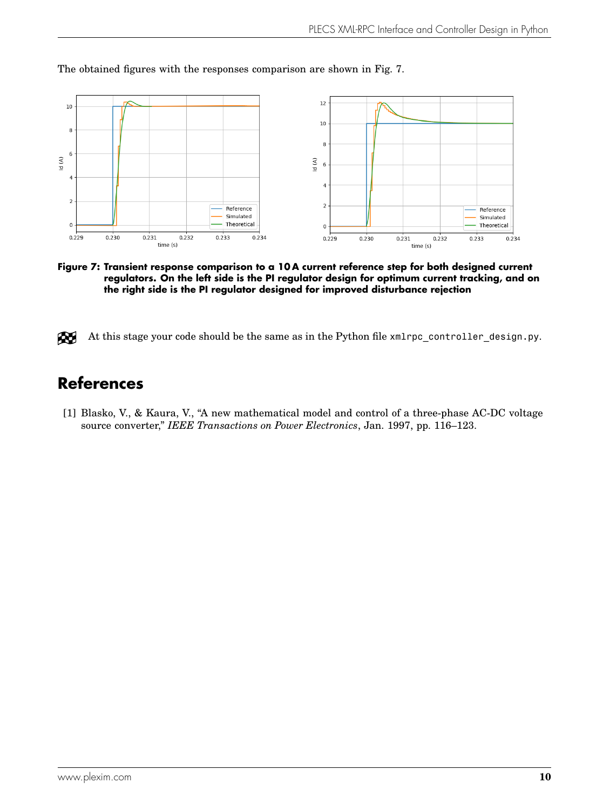<span id="page-10-1"></span>

The obtained figures with the responses comparison are shown in Fig. [7.](#page-10-1)

**Figure 7: Transient response comparison to a 10 A current reference step for both designed current regulators. On the left side is the PI regulator design for optimum current tracking, and on the right side is the PI regulator designed for improved disturbance rejection**



## **References**

<span id="page-10-0"></span>[1] Blasko, V., & Kaura, V., "A new mathematical model and control of a three-phase AC-DC voltage source converter," *IEEE Transactions on Power Electronics*, Jan. 1997, pp. 116–123.